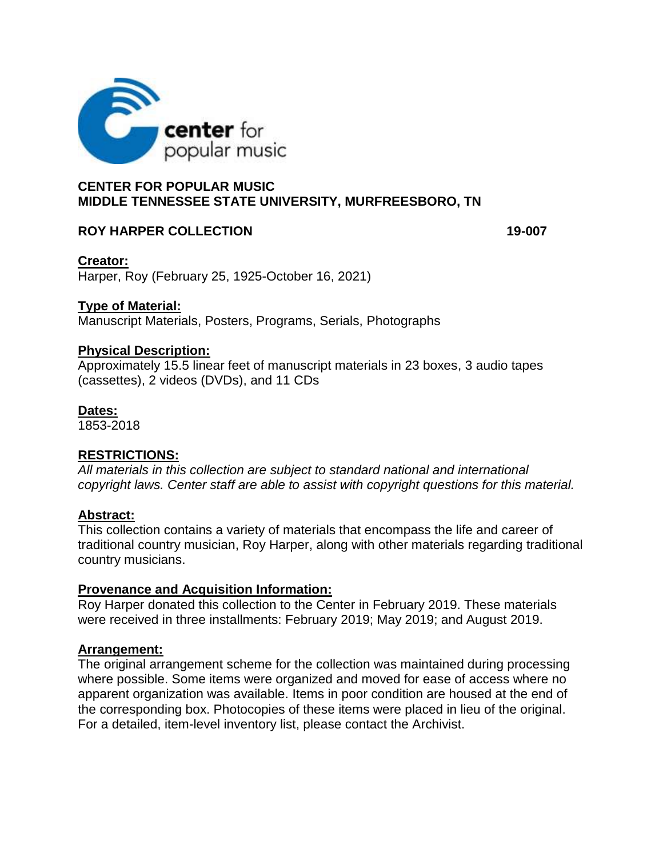

## **CENTER FOR POPULAR MUSIC MIDDLE TENNESSEE STATE UNIVERSITY, MURFREESBORO, TN**

### **ROY HARPER COLLECTION 19-007**

### **Creator:**

Harper, Roy (February 25, 1925-October 16, 2021)

### **Type of Material:**

Manuscript Materials, Posters, Programs, Serials, Photographs

#### **Physical Description:**

Approximately 15.5 linear feet of manuscript materials in 23 boxes, 3 audio tapes (cassettes), 2 videos (DVDs), and 11 CDs

#### **Dates:**

1853-2018

## **RESTRICTIONS:**

*All materials in this collection are subject to standard national and international copyright laws. Center staff are able to assist with copyright questions for this material.* 

#### **Abstract:**

This collection contains a variety of materials that encompass the life and career of traditional country musician, Roy Harper, along with other materials regarding traditional country musicians.

#### **Provenance and Acquisition Information:**

Roy Harper donated this collection to the Center in February 2019. These materials were received in three installments: February 2019; May 2019; and August 2019.

#### **Arrangement:**

The original arrangement scheme for the collection was maintained during processing where possible. Some items were organized and moved for ease of access where no apparent organization was available. Items in poor condition are housed at the end of the corresponding box. Photocopies of these items were placed in lieu of the original. For a detailed, item-level inventory list, please contact the Archivist.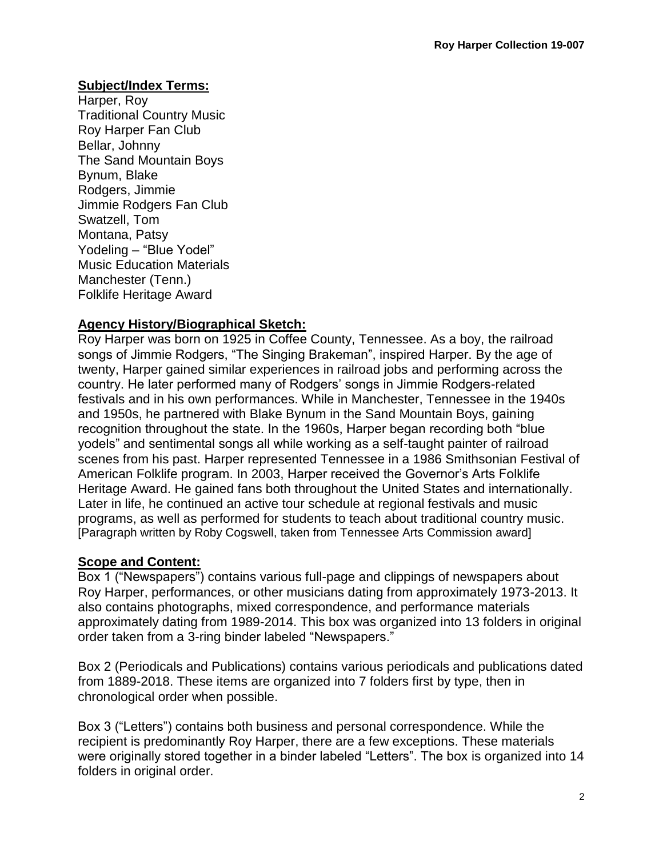### **Subject/Index Terms:**

Harper, Roy Traditional Country Music Roy Harper Fan Club Bellar, Johnny The Sand Mountain Boys Bynum, Blake Rodgers, Jimmie Jimmie Rodgers Fan Club Swatzell, Tom Montana, Patsy Yodeling – "Blue Yodel" Music Education Materials Manchester (Tenn.) Folklife Heritage Award

## **Agency History/Biographical Sketch:**

Roy Harper was born on 1925 in Coffee County, Tennessee. As a boy, the railroad songs of Jimmie Rodgers, "The Singing Brakeman", inspired Harper. By the age of twenty, Harper gained similar experiences in railroad jobs and performing across the country. He later performed many of Rodgers' songs in Jimmie Rodgers-related festivals and in his own performances. While in Manchester, Tennessee in the 1940s and 1950s, he partnered with Blake Bynum in the Sand Mountain Boys, gaining recognition throughout the state. In the 1960s, Harper began recording both "blue yodels" and sentimental songs all while working as a self-taught painter of railroad scenes from his past. Harper represented Tennessee in a 1986 Smithsonian Festival of American Folklife program. In 2003, Harper received the Governor's Arts Folklife Heritage Award. He gained fans both throughout the United States and internationally. Later in life, he continued an active tour schedule at regional festivals and music programs, as well as performed for students to teach about traditional country music. [Paragraph written by Roby Cogswell, taken from Tennessee Arts Commission award]

## **Scope and Content:**

Box 1 ("Newspapers") contains various full-page and clippings of newspapers about Roy Harper, performances, or other musicians dating from approximately 1973-2013. It also contains photographs, mixed correspondence, and performance materials approximately dating from 1989-2014. This box was organized into 13 folders in original order taken from a 3-ring binder labeled "Newspapers."

Box 2 (Periodicals and Publications) contains various periodicals and publications dated from 1889-2018. These items are organized into 7 folders first by type, then in chronological order when possible.

Box 3 ("Letters") contains both business and personal correspondence. While the recipient is predominantly Roy Harper, there are a few exceptions. These materials were originally stored together in a binder labeled "Letters". The box is organized into 14 folders in original order.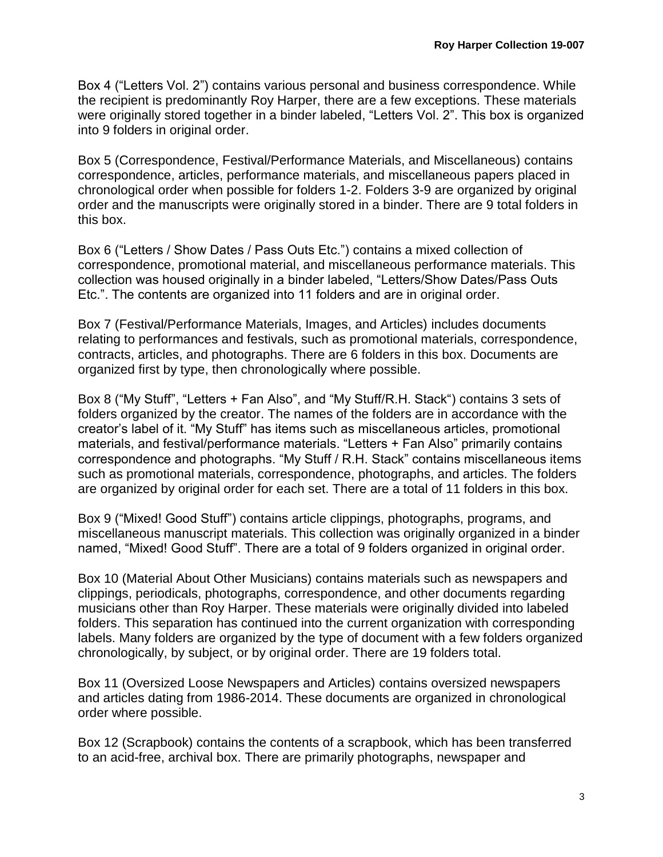Box 4 ("Letters Vol. 2") contains various personal and business correspondence. While the recipient is predominantly Roy Harper, there are a few exceptions. These materials were originally stored together in a binder labeled, "Letters Vol. 2". This box is organized into 9 folders in original order.

Box 5 (Correspondence, Festival/Performance Materials, and Miscellaneous) contains correspondence, articles, performance materials, and miscellaneous papers placed in chronological order when possible for folders 1-2. Folders 3-9 are organized by original order and the manuscripts were originally stored in a binder. There are 9 total folders in this box.

Box 6 ("Letters / Show Dates / Pass Outs Etc.") contains a mixed collection of correspondence, promotional material, and miscellaneous performance materials. This collection was housed originally in a binder labeled, "Letters/Show Dates/Pass Outs Etc.". The contents are organized into 11 folders and are in original order.

Box 7 (Festival/Performance Materials, Images, and Articles) includes documents relating to performances and festivals, such as promotional materials, correspondence, contracts, articles, and photographs. There are 6 folders in this box. Documents are organized first by type, then chronologically where possible.

Box 8 ("My Stuff", "Letters + Fan Also", and "My Stuff/R.H. Stack") contains 3 sets of folders organized by the creator. The names of the folders are in accordance with the creator's label of it. "My Stuff" has items such as miscellaneous articles, promotional materials, and festival/performance materials. "Letters + Fan Also" primarily contains correspondence and photographs. "My Stuff / R.H. Stack" contains miscellaneous items such as promotional materials, correspondence, photographs, and articles. The folders are organized by original order for each set. There are a total of 11 folders in this box.

Box 9 ("Mixed! Good Stuff") contains article clippings, photographs, programs, and miscellaneous manuscript materials. This collection was originally organized in a binder named, "Mixed! Good Stuff". There are a total of 9 folders organized in original order.

Box 10 (Material About Other Musicians) contains materials such as newspapers and clippings, periodicals, photographs, correspondence, and other documents regarding musicians other than Roy Harper. These materials were originally divided into labeled folders. This separation has continued into the current organization with corresponding labels. Many folders are organized by the type of document with a few folders organized chronologically, by subject, or by original order. There are 19 folders total.

Box 11 (Oversized Loose Newspapers and Articles) contains oversized newspapers and articles dating from 1986-2014. These documents are organized in chronological order where possible.

Box 12 (Scrapbook) contains the contents of a scrapbook, which has been transferred to an acid-free, archival box. There are primarily photographs, newspaper and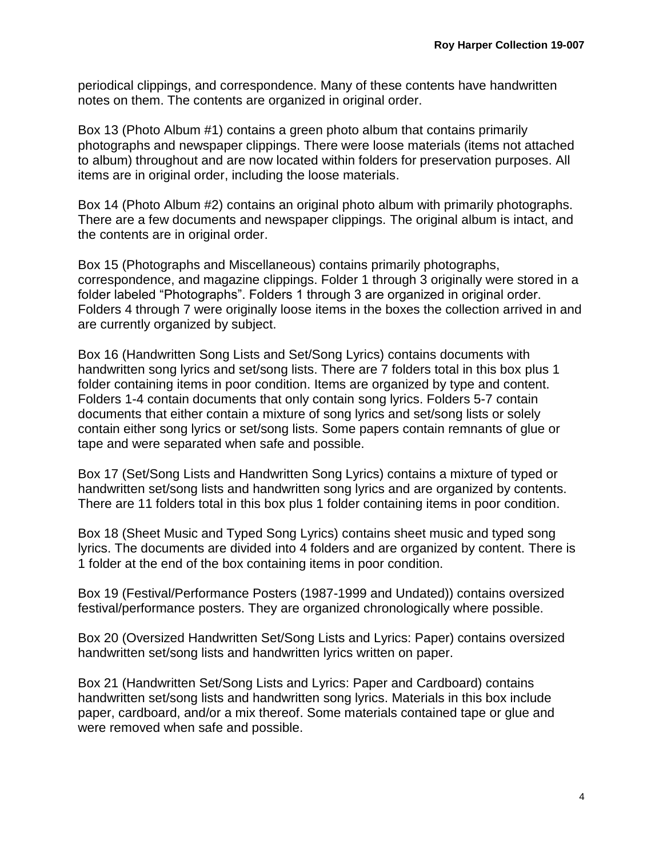periodical clippings, and correspondence. Many of these contents have handwritten notes on them. The contents are organized in original order.

Box 13 (Photo Album #1) contains a green photo album that contains primarily photographs and newspaper clippings. There were loose materials (items not attached to album) throughout and are now located within folders for preservation purposes. All items are in original order, including the loose materials.

Box 14 (Photo Album #2) contains an original photo album with primarily photographs. There are a few documents and newspaper clippings. The original album is intact, and the contents are in original order.

Box 15 (Photographs and Miscellaneous) contains primarily photographs, correspondence, and magazine clippings. Folder 1 through 3 originally were stored in a folder labeled "Photographs". Folders 1 through 3 are organized in original order. Folders 4 through 7 were originally loose items in the boxes the collection arrived in and are currently organized by subject.

Box 16 (Handwritten Song Lists and Set/Song Lyrics) contains documents with handwritten song lyrics and set/song lists. There are 7 folders total in this box plus 1 folder containing items in poor condition. Items are organized by type and content. Folders 1-4 contain documents that only contain song lyrics. Folders 5-7 contain documents that either contain a mixture of song lyrics and set/song lists or solely contain either song lyrics or set/song lists. Some papers contain remnants of glue or tape and were separated when safe and possible.

Box 17 (Set/Song Lists and Handwritten Song Lyrics) contains a mixture of typed or handwritten set/song lists and handwritten song lyrics and are organized by contents. There are 11 folders total in this box plus 1 folder containing items in poor condition.

Box 18 (Sheet Music and Typed Song Lyrics) contains sheet music and typed song lyrics. The documents are divided into 4 folders and are organized by content. There is 1 folder at the end of the box containing items in poor condition.

Box 19 (Festival/Performance Posters (1987-1999 and Undated)) contains oversized festival/performance posters. They are organized chronologically where possible.

Box 20 (Oversized Handwritten Set/Song Lists and Lyrics: Paper) contains oversized handwritten set/song lists and handwritten lyrics written on paper.

Box 21 (Handwritten Set/Song Lists and Lyrics: Paper and Cardboard) contains handwritten set/song lists and handwritten song lyrics. Materials in this box include paper, cardboard, and/or a mix thereof. Some materials contained tape or glue and were removed when safe and possible.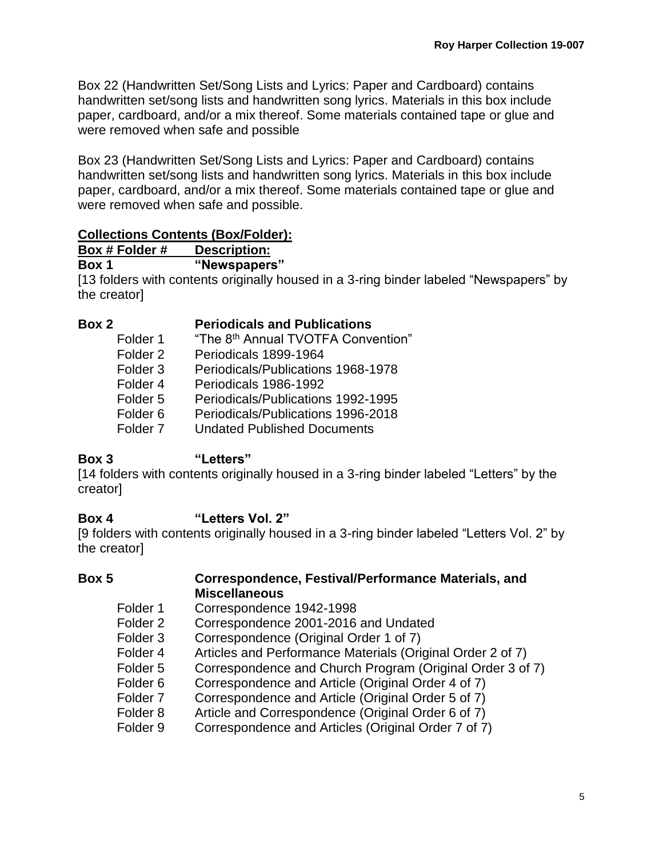Box 22 (Handwritten Set/Song Lists and Lyrics: Paper and Cardboard) contains handwritten set/song lists and handwritten song lyrics. Materials in this box include paper, cardboard, and/or a mix thereof. Some materials contained tape or glue and were removed when safe and possible

Box 23 (Handwritten Set/Song Lists and Lyrics: Paper and Cardboard) contains handwritten set/song lists and handwritten song lyrics. Materials in this box include paper, cardboard, and/or a mix thereof. Some materials contained tape or glue and were removed when safe and possible.

### **Collections Contents (Box/Folder):**

**Box # Folder # Description: Box 1 "Newspapers"**

[13 folders with contents originally housed in a 3-ring binder labeled "Newspapers" by the creator]

#### **Box 2 Periodicals and Publications**

| Folder 1            | "The 8 <sup>th</sup> Annual TVOTFA Convention" |
|---------------------|------------------------------------------------|
| Folder 2            | Periodicals 1899-1964                          |
| Folder 3            | Periodicals/Publications 1968-1978             |
| Folder 4            | Periodicals 1986-1992                          |
| Folder 5            | Periodicals/Publications 1992-1995             |
| Folder 6            | Periodicals/Publications 1996-2018             |
| Folder <sub>7</sub> | <b>Undated Published Documents</b>             |

## **Box 3 "Letters"**

[14 folders with contents originally housed in a 3-ring binder labeled "Letters" by the creator]

## **Box 4 "Letters Vol. 2"**

[9 folders with contents originally housed in a 3-ring binder labeled "Letters Vol. 2" by the creator]

## **Box 5 Correspondence, Festival/Performance Materials, and Miscellaneous**

- Folder 1 Correspondence 1942-1998
- Folder 2 Correspondence 2001-2016 and Undated
- Folder 3 Correspondence (Original Order 1 of 7)
- Folder 4 Articles and Performance Materials (Original Order 2 of 7)
- Folder 5 Correspondence and Church Program (Original Order 3 of 7)
- Folder 6 Correspondence and Article (Original Order 4 of 7)
- Folder 7 Correspondence and Article (Original Order 5 of 7)
- Folder 8 Article and Correspondence (Original Order 6 of 7)
- Folder 9 Correspondence and Articles (Original Order 7 of 7)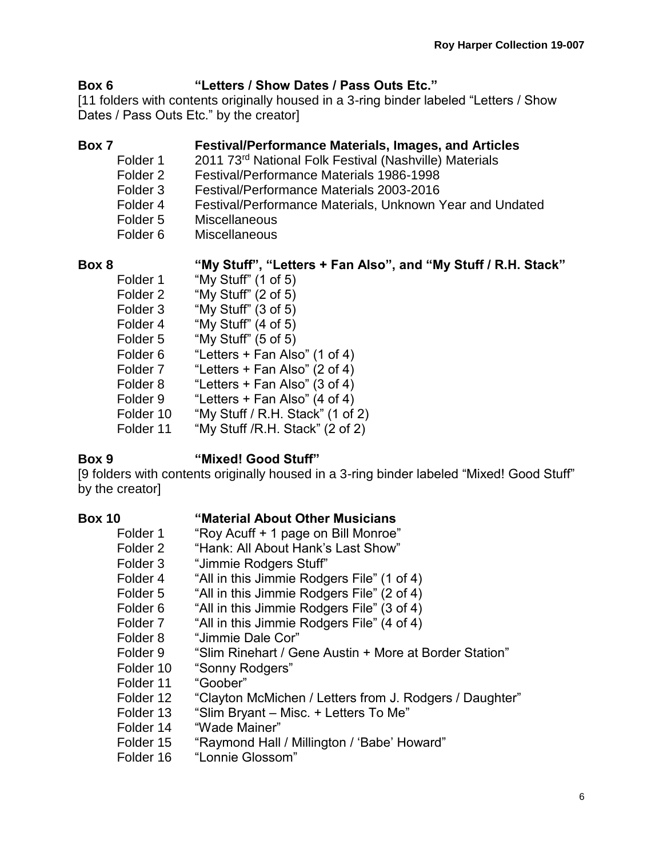## **Box 6 "Letters / Show Dates / Pass Outs Etc."**

[11 folders with contents originally housed in a 3-ring binder labeled "Letters / Show Dates / Pass Outs Etc." by the creator]

## **Box 7 Festival/Performance Materials, Images, and Articles**

- Folder 1 2011 73<sup>rd</sup> National Folk Festival (Nashville) Materials
- Folder 2 Festival/Performance Materials 1986-1998
- Folder 3 Festival/Performance Materials 2003-2016
- Folder 4 Festival/Performance Materials, Unknown Year and Undated
- Folder 5 Miscellaneous
- Folder 6 Miscellaneous

## **Box 8 "My Stuff", "Letters + Fan Also", and "My Stuff / R.H. Stack"**

Folder 1 "My Stuff" (1 of 5) Folder 2 "My Stuff" (2 of 5) Folder 3 "My Stuff" (3 of 5) Folder 4 "My Stuff" (4 of 5) Folder 5 "My Stuff" (5 of 5) Folder 6 "Letters + Fan Also" (1 of 4) Folder 7 "Letters + Fan Also" (2 of 4) Folder 8 "Letters + Fan Also" (3 of 4) Folder 9 "Letters + Fan Also" (4 of 4) Folder 10 "My Stuff / R.H. Stack" (1 of 2) Folder 11 "My Stuff /R.H. Stack" (2 of 2)

# **Box 9 "Mixed! Good Stuff"**

[9 folders with contents originally housed in a 3-ring binder labeled "Mixed! Good Stuff" by the creator]

## **Box 10 "Material About Other Musicians**

- Folder 1 "Roy Acuff + 1 page on Bill Monroe"
- Folder 2 "Hank: All About Hank's Last Show"
- Folder 3 "Jimmie Rodgers Stuff"
- Folder 4 "All in this Jimmie Rodgers File" (1 of 4)
- Folder 5 "All in this Jimmie Rodgers File" (2 of 4)
- Folder 6 "All in this Jimmie Rodgers File" (3 of 4)
- Folder 7 "All in this Jimmie Rodgers File" (4 of 4)
- Folder 8 "Jimmie Dale Cor"
- Folder 9 "Slim Rinehart / Gene Austin + More at Border Station"
- Folder 10 "Sonny Rodgers"
- Folder 11 "Goober"
- Folder 12 "Clayton McMichen / Letters from J. Rodgers / Daughter"
- Folder 13 "Slim Bryant Misc. + Letters To Me"
- Folder 14 "Wade Mainer"
- Folder 15 "Raymond Hall / Millington / 'Babe' Howard"
- Folder 16 "Lonnie Glossom"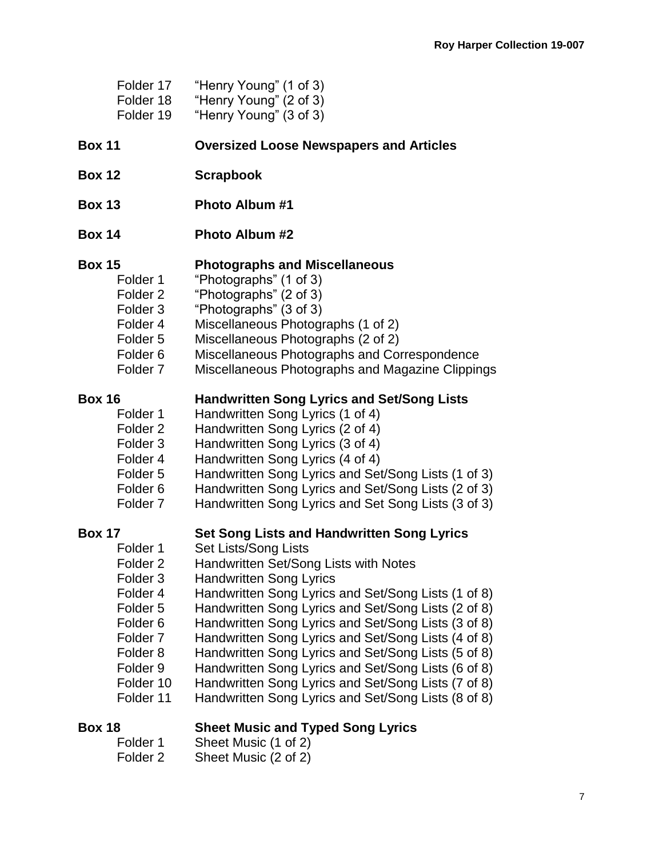| Folder 17           | "Henry Young" (1 of 3)                              |
|---------------------|-----------------------------------------------------|
| Folder 18           | "Henry Young" (2 of 3)                              |
| Folder 19           | "Henry Young" (3 of 3)                              |
| <b>Box 11</b>       | <b>Oversized Loose Newspapers and Articles</b>      |
| <b>Box 12</b>       | <b>Scrapbook</b>                                    |
| <b>Box 13</b>       | <b>Photo Album #1</b>                               |
| <b>Box 14</b>       | <b>Photo Album #2</b>                               |
| <b>Box 15</b>       | <b>Photographs and Miscellaneous</b>                |
| Folder 1            | "Photographs" (1 of 3)                              |
| Folder <sub>2</sub> | "Photographs" (2 of 3)                              |
| Folder <sub>3</sub> | "Photographs" (3 of 3)                              |
| Folder 4            | Miscellaneous Photographs (1 of 2)                  |
| Folder 5            | Miscellaneous Photographs (2 of 2)                  |
| Folder <sub>6</sub> | Miscellaneous Photographs and Correspondence        |
| Folder <sub>7</sub> | Miscellaneous Photographs and Magazine Clippings    |
| <b>Box 16</b>       | <b>Handwritten Song Lyrics and Set/Song Lists</b>   |
| Folder 1            | Handwritten Song Lyrics (1 of 4)                    |
| Folder <sub>2</sub> | Handwritten Song Lyrics (2 of 4)                    |
| Folder <sub>3</sub> | Handwritten Song Lyrics (3 of 4)                    |
| Folder 4            | Handwritten Song Lyrics (4 of 4)                    |
| Folder <sub>5</sub> | Handwritten Song Lyrics and Set/Song Lists (1 of 3) |
| Folder <sub>6</sub> | Handwritten Song Lyrics and Set/Song Lists (2 of 3) |
| Folder <sub>7</sub> | Handwritten Song Lyrics and Set Song Lists (3 of 3) |
| <b>Box 17</b>       | Set Song Lists and Handwritten Song Lyrics          |
| Folder 1            | Set Lists/Song Lists                                |
| Folder <sub>2</sub> | Handwritten Set/Song Lists with Notes               |
| Folder <sub>3</sub> | <b>Handwritten Song Lyrics</b>                      |
| Folder 4            | Handwritten Song Lyrics and Set/Song Lists (1 of 8) |
| Folder <sub>5</sub> | Handwritten Song Lyrics and Set/Song Lists (2 of 8) |
| Folder <sub>6</sub> | Handwritten Song Lyrics and Set/Song Lists (3 of 8) |
| Folder <sub>7</sub> | Handwritten Song Lyrics and Set/Song Lists (4 of 8) |
| Folder <sub>8</sub> | Handwritten Song Lyrics and Set/Song Lists (5 of 8) |
| Folder <sub>9</sub> | Handwritten Song Lyrics and Set/Song Lists (6 of 8) |
| Folder 10           | Handwritten Song Lyrics and Set/Song Lists (7 of 8) |
| Folder 11           | Handwritten Song Lyrics and Set/Song Lists (8 of 8) |
| <b>Box 18</b>       | <b>Sheet Music and Typed Song Lyrics</b>            |
| Folder 1            | Sheet Music (1 of 2)                                |

Folder 2 Sheet Music (2 of 2)